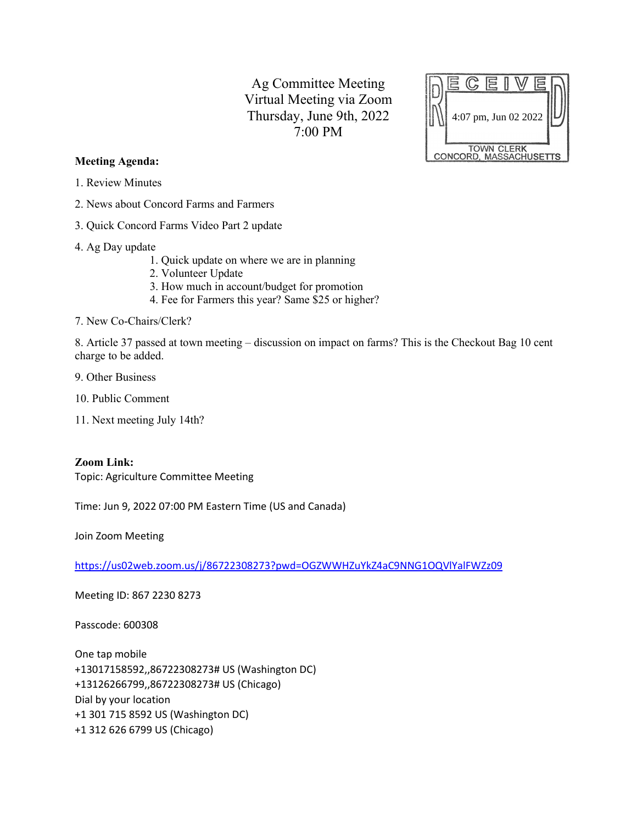Ag Committee Meeting Virtual Meeting via Zoom Thursday, June 9th, 2022 7:00 PM



## **Meeting Agenda:**

- 1. Review Minutes
- 2. News about Concord Farms and Farmers
- 3. Quick Concord Farms Video Part 2 update
- 4. Ag Day update
	- 1. Quick update on where we are in planning
	- 2. Volunteer Update
	- 3. How much in account/budget for promotion
	- 4. Fee for Farmers this year? Same \$25 or higher?
- 7. New Co-Chairs/Clerk?

8. Article 37 passed at town meeting – discussion on impact on farms? This is the Checkout Bag 10 cent charge to be added.

- 9. Other Business
- 10. Public Comment
- 11. Next meeting July 14th?

## **Zoom Link:**

Topic: Agriculture Committee Meeting

Time: Jun 9, 2022 07:00 PM Eastern Time (US and Canada)

Join Zoom Meeting

<https://us02web.zoom.us/j/86722308273?pwd=OGZWWHZuYkZ4aC9NNG1OQVlYalFWZz09>

Meeting ID: 867 2230 8273

Passcode: 600308

One tap mobile +13017158592,,86722308273# US (Washington DC) +13126266799,,86722308273# US (Chicago) Dial by your location +1 301 715 8592 US (Washington DC) +1 312 626 6799 US (Chicago)